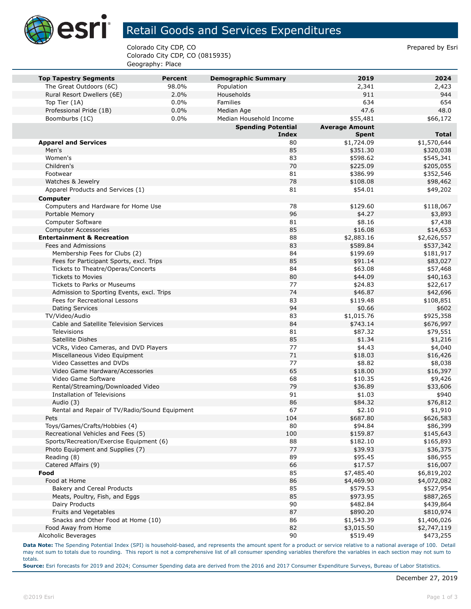

## Retail Goods and Services Expenditures

Colorado City CDP, CO Prepared by Esri Colorado City CDP, CO (0815935) Geography: Place

| <b>Top Tapestry Segments</b>                                 | <b>Percent</b> | <b>Demographic Summary</b> | 2019                   | 2024                     |
|--------------------------------------------------------------|----------------|----------------------------|------------------------|--------------------------|
| The Great Outdoors (6C)                                      | 98.0%          | Population                 | 2,341                  | 2,423                    |
| Rural Resort Dwellers (6E)                                   | 2.0%           | Households                 | 911                    | 944                      |
| Top Tier (1A)                                                | 0.0%           | Families                   | 634                    | 654                      |
| Professional Pride (1B)                                      | 0.0%           | Median Age                 | 47.6                   | 48.0                     |
| Boomburbs (1C)                                               | 0.0%           | Median Household Income    | \$55,481               | \$66,172                 |
|                                                              |                | <b>Spending Potential</b>  | <b>Average Amount</b>  |                          |
|                                                              |                | <b>Index</b>               | <b>Spent</b>           | <b>Total</b>             |
| <b>Apparel and Services</b>                                  |                | 80                         | \$1,724.09             | \$1,570,644              |
| Men's                                                        |                | 85                         | \$351.30               | \$320,038                |
| Women's                                                      |                | 83                         | \$598.62               | \$545,341                |
| Children's                                                   |                | 70<br>81                   | \$225.09               | \$205,055                |
| Footwear                                                     |                | 78                         | \$386.99               | \$352,546                |
| Watches & Jewelry<br>Apparel Products and Services (1)       |                | 81                         | \$108.08               | \$98,462                 |
|                                                              |                |                            | \$54.01                | \$49,202                 |
| <b>Computer</b>                                              |                |                            |                        |                          |
| Computers and Hardware for Home Use                          |                | 78                         | \$129.60               | \$118,067                |
| Portable Memory                                              |                | 96                         | \$4.27                 | \$3,893                  |
| Computer Software                                            |                | 81<br>85                   | \$8.16                 | \$7,438                  |
| <b>Computer Accessories</b>                                  |                | 88                         | \$16.08<br>\$2,883.16  | \$14,653                 |
| <b>Entertainment &amp; Recreation</b><br>Fees and Admissions |                | 83                         | \$589.84               | \$2,626,557<br>\$537,342 |
| Membership Fees for Clubs (2)                                |                | 84                         | \$199.69               | \$181,917                |
| Fees for Participant Sports, excl. Trips                     |                | 85                         | \$91.14                | \$83,027                 |
| Tickets to Theatre/Operas/Concerts                           |                | 84                         | \$63.08                | \$57,468                 |
| <b>Tickets to Movies</b>                                     |                | 80                         | \$44.09                | \$40,163                 |
| <b>Tickets to Parks or Museums</b>                           |                | 77                         | \$24.83                | \$22,617                 |
| Admission to Sporting Events, excl. Trips                    |                | 74                         | \$46.87                | \$42,696                 |
| Fees for Recreational Lessons                                |                | 83                         | \$119.48               | \$108,851                |
| <b>Dating Services</b>                                       |                | 94                         | \$0.66                 | \$602                    |
| TV/Video/Audio                                               |                | 83                         | \$1,015.76             | \$925,358                |
| Cable and Satellite Television Services                      |                | 84                         | \$743.14               | \$676,997                |
| <b>Televisions</b>                                           |                | 81                         | \$87.32                | \$79,551                 |
| Satellite Dishes                                             |                | 85                         | \$1.34                 | \$1,216                  |
| VCRs, Video Cameras, and DVD Players                         |                | 77                         | \$4.43                 | \$4,040                  |
| Miscellaneous Video Equipment                                |                | 71                         | \$18.03                | \$16,426                 |
| Video Cassettes and DVDs                                     |                | 77                         | \$8.82                 | \$8,038                  |
| Video Game Hardware/Accessories                              |                | 65                         | \$18.00                | \$16,397                 |
| Video Game Software                                          |                | 68                         | \$10.35                | \$9,426                  |
| Rental/Streaming/Downloaded Video                            |                | 79                         | \$36.89                | \$33,606                 |
| <b>Installation of Televisions</b>                           |                | 91                         | \$1.03                 | \$940                    |
| Audio (3)                                                    |                | 86                         | \$84.32                | \$76,812                 |
| Rental and Repair of TV/Radio/Sound Equipment                |                | 67                         | \$2.10                 | \$1,910                  |
| Pets                                                         |                | 104                        | \$687.80               | \$626,583                |
| Toys/Games/Crafts/Hobbies (4)                                |                | 80                         | \$94.84                | \$86,399                 |
| Recreational Vehicles and Fees (5)                           |                | 100                        | \$159.87               | \$145,643                |
| Sports/Recreation/Exercise Equipment (6)                     |                | 88                         | \$182.10               | \$165,893                |
| Photo Equipment and Supplies (7)                             |                | 77                         | \$39.93                | \$36,375                 |
| Reading (8)                                                  |                | 89                         | \$95.45                | \$86,955                 |
| Catered Affairs (9)                                          |                | 66                         | \$17.57                | \$16,007                 |
| Food                                                         |                | 85                         | \$7,485.40             | \$6,819,202              |
| Food at Home                                                 |                | 86                         | \$4,469.90             | \$4,072,082              |
| Bakery and Cereal Products                                   |                | 85                         | \$579.53               | \$527,954                |
| Meats, Poultry, Fish, and Eggs                               |                | 85                         | \$973.95               | \$887,265                |
| Dairy Products<br>Fruits and Vegetables                      |                | 90                         | \$482.84               | \$439,864                |
|                                                              |                | 87                         | \$890.20               | \$810,974                |
| Snacks and Other Food at Home (10)<br>Food Away from Home    |                | 86<br>82                   | \$1,543.39             | \$1,406,026              |
| Alcoholic Beverages                                          |                | 90                         | \$3,015.50<br>\$519.49 | \$2,747,119<br>\$473,255 |
|                                                              |                |                            |                        |                          |

**Data Note:** The Spending Potential Index (SPI) is household-based, and represents the amount spent for a product or service relative to a national average of 100. Detail may not sum to totals due to rounding. This report is not a comprehensive list of all consumer spending variables therefore the variables in each section may not sum to totals.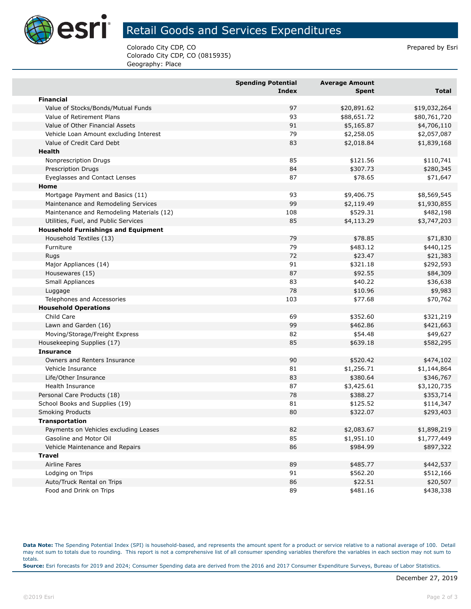

## Retail Goods and Services Expenditures

Colorado City CDP, CO Prepared by Esri Colorado City CDP, CO (0815935) Geography: Place

|                                            | <b>Spending Potential</b><br><b>Index</b> | <b>Average Amount</b><br>Spent | <b>Total</b> |
|--------------------------------------------|-------------------------------------------|--------------------------------|--------------|
| <b>Financial</b>                           |                                           |                                |              |
| Value of Stocks/Bonds/Mutual Funds         | 97                                        | \$20,891.62                    | \$19,032,264 |
| Value of Retirement Plans                  | 93                                        | \$88,651.72                    | \$80,761,720 |
| Value of Other Financial Assets            | 91                                        | \$5,165.87                     | \$4,706,110  |
| Vehicle Loan Amount excluding Interest     | 79                                        | \$2,258.05                     | \$2,057,087  |
| Value of Credit Card Debt                  | 83                                        | \$2,018.84                     | \$1,839,168  |
| Health                                     |                                           |                                |              |
| Nonprescription Drugs                      | 85                                        | \$121.56                       | \$110,741    |
| <b>Prescription Drugs</b>                  | 84                                        | \$307.73                       | \$280,345    |
| Eyeglasses and Contact Lenses              | 87                                        | \$78.65                        | \$71,647     |
| Home                                       |                                           |                                |              |
| Mortgage Payment and Basics (11)           | 93                                        | \$9,406.75                     | \$8,569,545  |
| Maintenance and Remodeling Services        | 99                                        | \$2,119.49                     | \$1,930,855  |
| Maintenance and Remodeling Materials (12)  | 108                                       | \$529.31                       | \$482,198    |
| Utilities, Fuel, and Public Services       | 85                                        | \$4,113.29                     | \$3,747,203  |
| <b>Household Furnishings and Equipment</b> |                                           |                                |              |
| Household Textiles (13)                    | 79                                        | \$78.85                        | \$71,830     |
| Furniture                                  | 79                                        | \$483.12                       | \$440,125    |
| Rugs                                       | 72                                        | \$23.47                        | \$21,383     |
| Major Appliances (14)                      | 91                                        | \$321.18                       | \$292,593    |
| Housewares (15)                            | 87                                        | \$92.55                        | \$84,309     |
| Small Appliances                           | 83                                        | \$40.22                        | \$36,638     |
| Luggage                                    | 78                                        | \$10.96                        | \$9,983      |
| Telephones and Accessories                 | 103                                       | \$77.68                        | \$70,762     |
| <b>Household Operations</b>                |                                           |                                |              |
| Child Care                                 | 69                                        | \$352.60                       | \$321,219    |
| Lawn and Garden (16)                       | 99                                        | \$462.86                       | \$421,663    |
| Moving/Storage/Freight Express             | 82                                        | \$54.48                        | \$49,627     |
| Housekeeping Supplies (17)                 | 85                                        | \$639.18                       | \$582,295    |
| <b>Insurance</b>                           |                                           |                                |              |
| Owners and Renters Insurance               | 90                                        | \$520.42                       | \$474,102    |
| Vehicle Insurance                          | 81                                        | \$1,256.71                     | \$1,144,864  |
| Life/Other Insurance                       | 83                                        | \$380.64                       | \$346,767    |
| Health Insurance                           | 87                                        | \$3,425.61                     | \$3,120,735  |
| Personal Care Products (18)                | 78                                        | \$388.27                       | \$353,714    |
| School Books and Supplies (19)             | 81                                        | \$125.52                       | \$114,347    |
| <b>Smoking Products</b>                    | 80                                        | \$322.07                       | \$293,403    |
| Transportation                             |                                           |                                |              |
| Payments on Vehicles excluding Leases      | 82                                        | \$2,083.67                     | \$1,898,219  |
| Gasoline and Motor Oil                     | 85                                        | \$1,951.10                     | \$1,777,449  |
| Vehicle Maintenance and Repairs            | 86                                        | \$984.99                       | \$897,322    |
| <b>Travel</b>                              |                                           |                                |              |
| <b>Airline Fares</b>                       | 89                                        | \$485.77                       | \$442,537    |
| Lodging on Trips                           | 91                                        | \$562.20                       | \$512,166    |
| Auto/Truck Rental on Trips                 | 86                                        | \$22.51                        | \$20,507     |
| Food and Drink on Trips                    | 89                                        | \$481.16                       | \$438,338    |

**Data Note:** The Spending Potential Index (SPI) is household-based, and represents the amount spent for a product or service relative to a national average of 100. Detail may not sum to totals due to rounding. This report is not a comprehensive list of all consumer spending variables therefore the variables in each section may not sum to totals. **Source:** Esri forecasts for 2019 and 2024; Consumer Spending data are derived from the 2016 and 2017 Consumer Expenditure Surveys, Bureau of Labor Statistics.